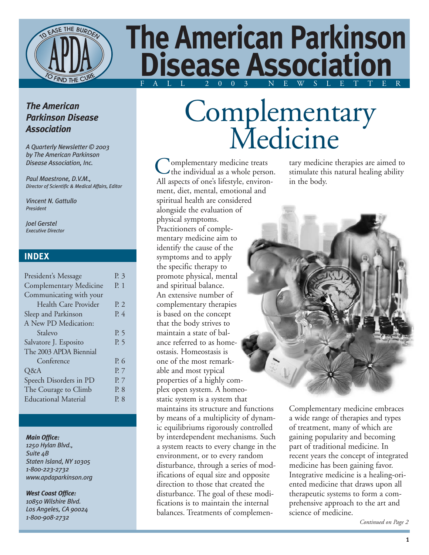

## **The American Parkinson Disease Association** F ALL 2003 NEWSLETTER

### *The American Parkinson Disease Association*

*A Quarterly Newsletter © 2003 by The American Parkinson Disease Association, Inc.*

*Paul Maestrone, D.V.M., Director of Scientific & Medical Affairs, Editor*

*Vincent N. Gattullo President*

*Joel Gerstel Executive Director*

### **INDEX**

| President's Message           | P. 3           |
|-------------------------------|----------------|
| <b>Complementary Medicine</b> | P. 1           |
| Communicating with your       |                |
| Health Care Provider          | P <sub>2</sub> |
| Sleep and Parkinson           | P. 4           |
| A New PD Medication:          |                |
| Stalevo                       | P. 5           |
| Salvatore J. Esposito         | P. 5           |
| The 2003 APDA Biennial        |                |
| Conference                    | P. 6           |
| Q&A                           | P. 7           |
| Speech Disorders in PD        | P. 7           |
| The Courage to Climb          | P. 8           |
| <b>Educational Material</b>   | P. 8           |
|                               |                |

#### *Main Office:*

*1250 Hylan Blvd., Suite 4B Staten Island, NY 10305 1-800-223-2732 www.apdaparkinson.org*

### *West Coast Office:*

*10850 Wilshire Blvd. Los Angeles, CA 90024 1-800-908-2732*

# Complementary Medicine

omplementary medicine treats Complementary medicine treats<br>the individual as a whole person. All aspects of one's lifestyle, environment, diet, mental, emotional and spiritual health are considered alongside the evaluation of physical symptoms. Practitioners of complementary medicine aim to identify the cause of the symptoms and to apply the specific therapy to promote physical, mental and spiritual balance. An extensive number of complementary therapies is based on the concept that the body strives to maintain a state of balance referred to as homeostasis. Homeostasis is one of the most remarkable and most typical properties of a highly complex open system. A homeostatic system is a system that maintains its structure and functions by means of a multiplicity of dynamic equilibriums rigorously controlled by interdependent mechanisms. Such a system reacts to every change in the environment, or to every random disturbance, through a series of modifications of equal size and opposite direction to those that created the disturbance. The goal of these modifications is to maintain the internal balances. Treatments of complemen-

tary medicine therapies are aimed to stimulate this natural healing ability in the body.



Complementary medicine embraces a wide range of therapies and types of treatment, many of which are gaining popularity and becoming part of traditional medicine. In recent years the concept of integrated medicine has been gaining favor. Integrative medicine is a healing-oriented medicine that draws upon all therapeutic systems to form a comprehensive approach to the art and science of medicine.

*Continued on Page 2*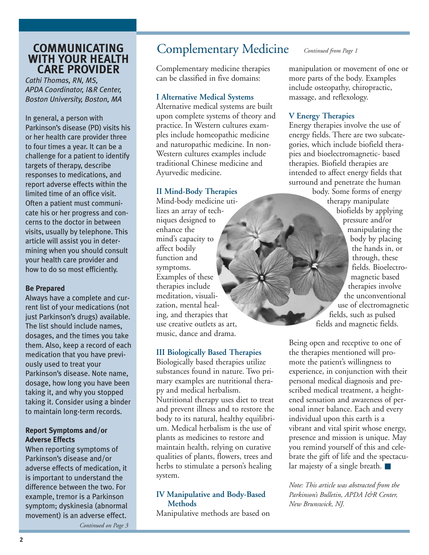### **WITH YOUR HEALTH CARE PROVIDER**

*Cathi Thomas, RN, MS, APDA Coordinator, I&R Center, Boston University, Boston, MA*

In general, a person with Parkinson's disease (PD) visits his or her health care provider three to four times a year. It can be a challenge for a patient to identify targets of therapy, describe responses to medications, and report adverse effects within the limited time of an office visit. Often a patient must communicate his or her progress and concerns to the doctor in between visits, usually by telephone. This article will assist you in determining when you should consult your health care provider and how to do so most efficiently.

### **Be Prepared**

Always have a complete and current list of your medications (not just Parkinson's drugs) available. The list should include names, dosages, and the times you take them. Also, keep a record of each medication that you have previously used to treat your Parkinson's disease. Note name, dosage, how long you have been taking it, and why you stopped taking it. Consider using a binder to maintain long-term records.

### **Report Symptoms and/or Adverse Effects**

When reporting symptoms of Parkinson's disease and/or adverse effects of medication, it is important to understand the difference between the two. For example, tremor is a Parkinson symptom; dyskinesia (abnormal movement) is an adverse effect.

### **COMMUNICATING** Complementary Medicine *Continued from Page 1*

Complementary medicine therapies can be classified in five domains:

#### **I Alternative Medical Systems**

Alternative medical systems are built upon complete systems of theory and practice. In Western cultures examples include homeopathic medicine and naturopathic medicine. In non-Western cultures examples include traditional Chinese medicine and Ayurvedic medicine.

### **II Mind-Body Therapies**

Mind-body medicine utilizes an array of techniques designed to enhance the mind's capacity to affect bodily function and symptoms. Examples of these therapies include meditation, visualization, mental healing, and therapies that use creative outlets as art, music, dance and drama.

### **III Biologically Based Therapies**

Biologically based therapies utilize substances found in nature. Two primary examples are nutritional therapy and medical herbalism. Nutritional therapy uses diet to treat and prevent illness and to restore the body to its natural, healthy equilibrium. Medical herbalism is the use of plants as medicines to restore and maintain health, relying on curative qualities of plants, flowers, trees and herbs to stimulate a person's healing system.

### **IV Manipulative and Body-Based Methods**

Manipulative methods are based on

manipulation or movement of one or more parts of the body. Examples include osteopathy, chiropractic, massage, and reflexology.

### **V Energy Therapies**

Energy therapies involve the use of energy fields. There are two subcategories, which include biofield therapies and bioelectromagnetic- based therapies. Biofield therapies are intended to affect energy fields that surround and penetrate the human

body. Some forms of energy therapy manipulate biofields by applying pressure and/or manipulating the body by placing the hands in, or through, these fields. Bioelectromagnetic based therapies involve the unconventional use of electromagnetic fields, such as pulsed fields and magnetic fields.

Being open and receptive to one of the therapies mentioned will promote the patient's willingness to experience, in conjunction with their personal medical diagnosis and prescribed medical treatment, a heightened sensation and awareness of personal inner balance. Each and every individual upon this earth is a vibrant and vital spirit whose energy, presence and mission is unique. May you remind yourself of this and celebrate the gift of life and the spectacular majesty of a single breath. ■

*Note: This article was abstracted from the Parkinson's Bulletin, APDA I&R Center, New Brunswick, NJ.*

*Continued on Page 3*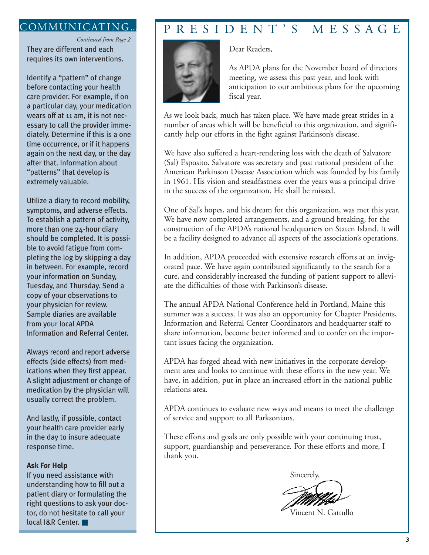They are different and each requires its own interventions. *Continued from Page 2*

Identify a "pattern" of change before contacting your health care provider. For example, if on a particular day, your medication wears off at 11 am, it is not necessary to call the provider immediately. Determine if this is a one time occurrence, or if it happens again on the next day, or the day after that. Information about "patterns" that develop is extremely valuable.

Utilize a diary to record mobility, symptoms, and adverse effects. To establish a pattern of activity, more than one 24-hour diary should be completed. It is possible to avoid fatigue from completing the log by skipping a day in between. For example, record your information on Sunday, Tuesday, and Thursday. Send a copy of your observations to your physician for review. Sample diaries are available from your local APDA Information and Referral Center.

Always record and report adverse effects (side effects) from medications when they first appear. A slight adjustment or change of medication by the physician will usually correct the problem.

And lastly, if possible, contact your health care provider early in the day to insure adequate response time.

#### **Ask For Help**

If you need assistance with understanding how to fill out a patient diary or formulating the right questions to ask your doctor, do not hesitate to call your local I&R Center. ■

### COMMUNICATING... PRESIDENT'S MESSAGE

Dear Readers,



As APDA plans for the November board of directors meeting, we assess this past year, and look with anticipation to our ambitious plans for the upcoming fiscal year.

As we look back, much has taken place. We have made great strides in a number of areas which will be beneficial to this organization, and significantly help our efforts in the fight against Parkinson's disease.

We have also suffered a heart-rendering loss with the death of Salvatore (Sal) Esposito. Salvatore was secretary and past national president of the American Parkinson Disease Association which was founded by his family in 1961. His vision and steadfastness over the years was a principal drive in the success of the organization. He shall be missed.

One of Sal's hopes, and his dream for this organization, was met this year. We have now completed arrangements, and a ground breaking, for the construction of the APDA's national headquarters on Staten Island. It will be a facility designed to advance all aspects of the association's operations.

In addition, APDA proceeded with extensive research efforts at an invigorated pace. We have again contributed significantly to the search for a cure, and considerably increased the funding of patient support to alleviate the difficulties of those with Parkinson's disease.

The annual APDA National Conference held in Portland, Maine this summer was a success. It was also an opportunity for Chapter Presidents, Information and Referral Center Coordinators and headquarter staff to share information, become better informed and to confer on the important issues facing the organization.

APDA has forged ahead with new initiatives in the corporate development area and looks to continue with these efforts in the new year. We have, in addition, put in place an increased effort in the national public relations area.

APDA continues to evaluate new ways and means to meet the challenge of service and support to all Parksonians.

These efforts and goals are only possible with your continuing trust, support, guardianship and perseverance. For these efforts and more, I thank you.



Vincent N. Gattullo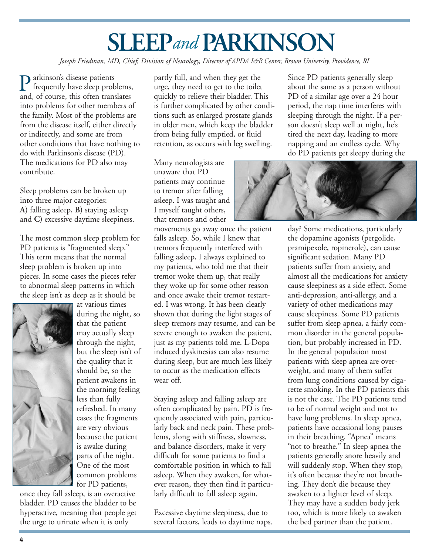# **SLEEP** and **PARKINSON**

*Joseph Friedman, MD, Chief, Division of Neurology, Director of APDA I&R Center, Brown University, Providence, RI*

**P** arkinson's disease patients<br>frequently have sleep prob<br>and of course, this often trans frequently have sleep problems, and, of course, this often translates into problems for other members of the family. Most of the problems are from the disease itself, either directly or indirectly, and some are from other conditions that have nothing to do with Parkinson's disease (PD). The medications for PD also may contribute.

Sleep problems can be broken up into three major categories: **A)** falling asleep, **B)** staying asleep and **C)** excessive daytime sleepiness.

The most common sleep problem for PD patients is "fragmented sleep." This term means that the normal sleep problem is broken up into pieces. In some cases the pieces refer to abnormal sleep patterns in which the sleep isn't as deep as it should be



at various times during the night, so that the patient may actually sleep through the night, but the sleep isn't of the quality that it should be, so the patient awakens in the morning feeling less than fully refreshed. In many cases the fragments are very obvious because the patient is awake during parts of the night. One of the most common problems for PD patients,

once they fall asleep, is an overactive bladder. PD causes the bladder to be hyperactive, meaning that people get the urge to urinate when it is only

partly full, and when they get the urge, they need to get to the toilet quickly to relieve their bladder. This is further complicated by other conditions such as enlarged prostate glands in older men, which keep the bladder from being fully emptied, or fluid retention, as occurs with leg swelling.

Many neurologists are unaware that PD patients may continue to tremor after falling asleep. I was taught and I myself taught others, that tremors and other

movements go away once the patient falls asleep. So, while I knew that tremors frequently interfered with falling asleep, I always explained to my patients, who told me that their tremor woke them up, that really they woke up for some other reason and once awake their tremor restarted. I was wrong. It has been clearly shown that during the light stages of sleep tremors may resume, and can be severe enough to awaken the patient, just as my patients told me. L-Dopa induced dyskinesias can also resume during sleep, but are much less likely to occur as the medication effects wear off.

Staying asleep and falling asleep are often complicated by pain. PD is frequently associated with pain, particularly back and neck pain. These problems, along with stiffness, slowness, and balance disorders, make it very difficult for some patients to find a comfortable position in which to fall asleep. When they awaken, for whatever reason, they then find it particularly difficult to fall asleep again.

Excessive daytime sleepiness, due to several factors, leads to daytime naps. Since PD patients generally sleep about the same as a person without PD of a similar age over a 24 hour period, the nap time interferes with sleeping through the night. If a person doesn't sleep well at night, he's tired the next day, leading to more napping and an endless cycle. Why do PD patients get sleepy during the



day? Some medications, particularly the dopamine agonists (pergolide, pramipexole, ropinerole), can cause significant sedation. Many PD patients suffer from anxiety, and almost all the medications for anxiety cause sleepiness as a side effect. Some anti-depression, anti-allergy, and a variety of other medications may cause sleepiness. Some PD patients suffer from sleep apnea, a fairly common disorder in the general population, but probably increased in PD. In the general population most patients with sleep apnea are overweight, and many of them suffer from lung conditions caused by cigarette smoking. In the PD patients this is not the case. The PD patients tend to be of normal weight and not to have lung problems. In sleep apnea, patients have occasional long pauses in their breathing. "Apnea" means "not to breathe." In sleep apnea the patients generally snore heavily and will suddenly stop. When they stop, it's often because they're not breathing. They don't die because they awaken to a lighter level of sleep. They may have a sudden body jerk too, which is more likely to awaken the bed partner than the patient.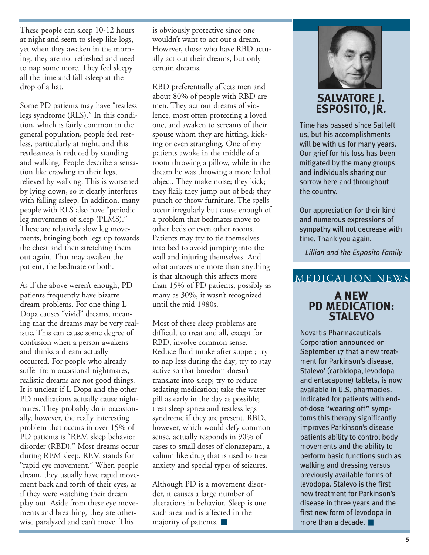These people can sleep 10-12 hours at night and seem to sleep like logs, yet when they awaken in the morning, they are not refreshed and need to nap some more. They feel sleepy all the time and fall asleep at the drop of a hat.

Some PD patients may have "restless legs syndrome (RLS)." In this condition, which is fairly common in the general population, people feel restless, particularly at night, and this restlessness is reduced by standing and walking. People describe a sensation like crawling in their legs, relieved by walking. This is worsened by lying down, so it clearly interferes with falling asleep. In addition, many people with RLS also have "periodic leg movements of sleep (PLMS)." These are relatively slow leg movements, bringing both legs up towards the chest and then stretching them out again. That may awaken the patient, the bedmate or both.

As if the above weren't enough, PD patients frequently have bizarre dream problems. For one thing L-Dopa causes "vivid" dreams, meaning that the dreams may be very realistic. This can cause some degree of confusion when a person awakens and thinks a dream actually occurred. For people who already suffer from occasional nightmares, realistic dreams are not good things. It is unclear if L-Dopa and the other PD medications actually cause nightmares. They probably do it occasionally, however, the really interesting problem that occurs in over 15% of PD patients is "REM sleep behavior disorder (RBD)." Most dreams occur during REM sleep. REM stands for "rapid eye movement." When people dream, they usually have rapid movement back and forth of their eyes, as if they were watching their dream play out. Aside from these eye movements and breathing, they are otherwise paralyzed and can't move. This

is obviously protective since one wouldn't want to act out a dream. However, those who have RBD actually act out their dreams, but only certain dreams.

RBD preferentially affects men and about 80% of people with RBD are men. They act out dreams of violence, most often protecting a loved one, and awaken to screams of their spouse whom they are hitting, kicking or even strangling. One of my patients awoke in the middle of a room throwing a pillow, while in the dream he was throwing a more lethal object. They make noise; they kick; they flail; they jump out of bed; they punch or throw furniture. The spells occur irregularly but cause enough of a problem that bedmates move to other beds or even other rooms. Patients may try to tie themselves into bed to avoid jumping into the wall and injuring themselves. And what amazes me more than anything is that although this affects more than 15% of PD patients, possibly as many as 30%, it wasn't recognized until the mid 1980s.

Most of these sleep problems are difficult to treat and all, except for RBD, involve common sense. Reduce fluid intake after supper; try to nap less during the day; try to stay active so that boredom doesn't translate into sleep; try to reduce sedating medication; take the water pill as early in the day as possible; treat sleep apnea and restless legs syndrome if they are present. RBD, however, which would defy common sense, actually responds in 90% of cases to small doses of clonazepam, a valium like drug that is used to treat anxiety and special types of seizures.

Although PD is a movement disorder, it causes a large number of alterations in behavior. Sleep is one such area and is affected in the majority of patients. ■



### **SALVATORE J. ESPOSITO, JR.**

Time has passed since Sal left us, but his accomplishments will be with us for many years. Our grief for his loss has been mitigated by the many groups and individuals sharing our sorrow here and throughout the country.

Our appreciation for their kind and numerous expressions of sympathy will not decrease with time. Thank you again.

*Lillian and the Esposito Family*

### MEDICATION NEWS

### **A NEW PD MEDICATION: STALEVO**

Novartis Pharmaceuticals Corporation announced on September 17 that a new treatment for Parkinson's disease, Stalevo' (carbidopa, levodopa and entacapone) tablets, is now available in U.S. pharmacies. Indicated for patients with endof-dose "wearing off" symptoms this therapy significantly improves Parkinson's disease patients ability to control body movements and the ability to perform basic functions such as walking and dressing versus previously available forms of levodopa. Stalevo is the first new treatment for Parkinson's disease in three years and the first new form of levodopa in more than a decade. ■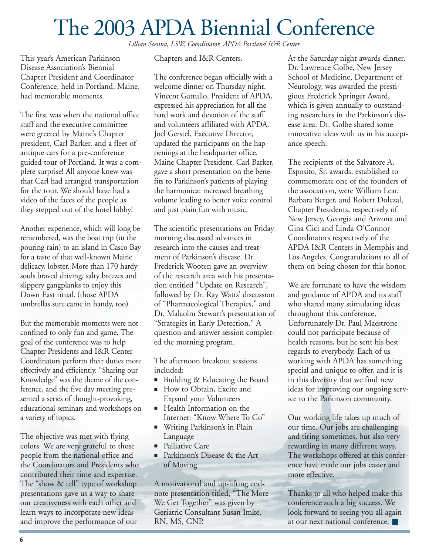## The 2003 APDA Biennial Conference

*Lillian Scenna, LSW, Coordinator, APDA Portland I&R Center*

This year's American Parkinson Disease Association's Biennial Chapter President and Coordinator Conference, held in Portland, Maine, had memorable moments.

The first was when the national office staff and the executive committee were greeted by Maine's Chapter president, Carl Barker, and a fleet of antique cars for a pre-conference guided tour of Portland. It was a complete surprise! All anyone knew was that Carl had arranged transportation for the tour. We should have had a video of the faces of the people as they stepped out of the hotel lobby!

Another experience, which will long be remembered, was the boat trip (in the pouring rain) to an island in Casco Bay for a taste of that well-known Maine delicacy, lobster. More than 170 hardy souls braved driving, salty breezes and slippery gangplanks to enjoy this Down East ritual. (those APDA umbrellas sure came in handy, too)

But the memorable moments were not confined to only fun and game. The goal of the conference was to help Chapter Presidents and I&R Center Coordinators perform their duties more effectively and efficiently. "Sharing our Knowledge" was the theme of the conference, and the five day meeting presented a series of thought-provoking, educational seminars and workshops on a variety of topics.

The objective was met with flying colors. We are very grateful to those people from the national office and the Coordinators and Presidents who contributed their time and expertise. The "show & tell" type of workshop presentations gave us a way to share our creativeness with each other and learn ways to incorporate new ideas and improve the performance of our

Chapters and I&R Centers.

The conference began officially with a welcome dinner on Thursday night. Vincent Gattullo, President of APDA, expressed his appreciation for all the hard work and devotion of the staff and volunteers affiliated with APDA. Joel Gerstel, Executive Director, updated the participants on the happenings at the headquarter office. Maine Chapter President, Carl Barker, gave a short presentation on the benefits to Parkinson's patients of playing the harmonica: increased breathing volume leading to better voice control and just plain fun with music.

The scientific presentations on Friday morning discussed advances in research into the causes and treatment of Parkinson's disease. Dr. Frederick Wooten gave an overview of the research area with his presentation entitled "Update on Research", followed by Dr. Ray Watts' discussion of "Pharmacological Therapies," and Dr. Malcolm Stewart's presentation of "Strategies in Early Detection." A question-and-answer session completed the morning program.

The afternoon breakout sessions included:

- Building & Educating the Board
- How to Obtain, Excite and Expand your Volunteers
- Health Information on the Internet: "Know Where To Go"
- Writing Parkinson's in Plain Language
- Palliative Care
- Parkinson's Disease & the Art of Moving

A motivational and up-lifting endnote presentation titled, "The More We Get Together" was given by Geriatric Consultant Susan Imke, RN, MS, GNP.

At the Saturday night awards dinner, Dr. Lawrence Golbe, New Jersey School of Medicine, Department of Neurology, was awarded the prestigious Frederick Springer Award, which is given annually to outstanding researchers in the Parkinson's disease area. Dr. Golbe shared some innovative ideas with us in his acceptance speech.

The recipients of the Salvatore A. Esposito, Sr. awards, established to commemorate one of the founders of the association, were William Lear, Barbara Berger, and Robert Dolezal, Chapter Presidents, respectively of New Jersey, Georgia and Arizona and Gina Cici and Linda O'Connor Coordinators respectively of the APDA I&R Centers in Memphis and Los Angeles. Congratulations to all of them on being chosen for this honor.

We are fortunate to have the wisdom and guidance of APDA and its staff who shared many stimulating ideas throughout this conference, Unfortunately Dr. Paul Maestrone could not participate because of health reasons, but he sent his best regards to everybody. Each of us working with APDA has something special and unique to offer, and it is in this diversity that we find new ideas for improving our ongoing service to the Parkinson community.

Our working life takes up much of our time. Our jobs are challenging and tiring sometimes, but also very rewarding in many different ways. The workshops offered at this conference have made our jobs easier and more effective.

Thanks to all who helped make this conference such a big success. We look forward to seeing you all again at our next national conference. ■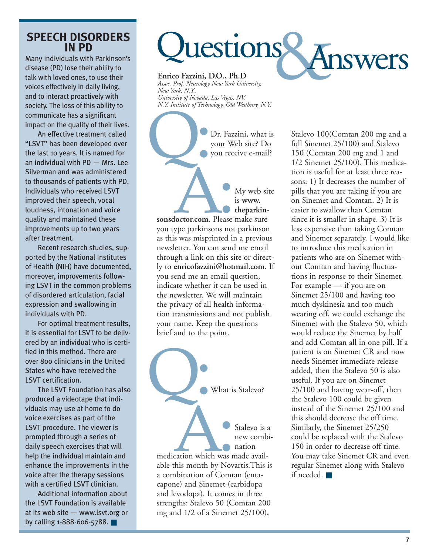### **SPEECH DISORDERS IN PD**

Many individuals with Parkinson's disease (PD) lose their ability to talk with loved ones, to use their voices effectively in daily living, and to interact proactively with society. The loss of this ability to communicate has a significant impact on the quality of their lives.

An effective treatment called "LSVT" has been developed over the last 10 years. It is named for an individual with PD — Mrs. Lee Silverman and was administered to thousands of patients with PD. Individuals who received LSVT improved their speech, vocal loudness, intonation and voice quality and maintained these improvements up to two years after treatment.

Recent research studies, supported by the National Institutes of Health (NIH) have documented, moreover, improvements following LSVT in the common problems of disordered articulation, facial expression and swallowing in individuals with PD.

For optimal treatment results, it is essential for LSVT to be delivered by an individual who is certified in this method. There are over 800 clinicians in the United States who have received the LSVT certification.

The LSVT Foundation has also produced a videotape that individuals may use at home to do voice exercises as part of the LSVT procedure. The viewer is prompted through a series of daily speech exercises that will help the individual maintain and enhance the improvements in the voice after the therapy sessions with a certified LSVT clinician.

Additional information about the LSVT Foundation is available at its web site — www.lsvt.org or by calling 1-888-606-5788. ■

# luestions Answers

**Enrico Fazzini, D.O., Ph.D** *Assoc. Prof. Neurology New York University, New York, N.Y., University of Nevada, Las Vegas, NV, N.Y. Institute of Technology, Old Westbury, N.Y.*

Dr. Fazzini, what is your Web site? Do you receive e-mail? Q:

My web site is **www. theparkinsonsdoctor.com**. Please make sure you type parkinsons not parkinson as this was misprinted in a previous newsletter. You can send me email through a link on this site or directly to **enricofazzini@hotmail.com**. If you send me an email question, indicate whether it can be used in the newsletter. We will maintain the privacy of all health information transmissions and not publish your name. Keep the questions brief and to the point. Notor.com. Please



Stalevo is a new combination

medication which was made available this month by Novartis.This is a combination of Comtan (entacapone) and Sinemet (carbidopa and levodopa). It comes in three strengths: Stalevo 50 (Comtan 200 mg and 1/2 of a Sinemet 25/100), Cation which was n

Stalevo 100(Comtan 200 mg and a full Sinemet 25/100) and Stalevo 150 (Comtan 200 mg and 1 and 1/2 Sinemet 25/100). This medication is useful for at least three reasons: 1) It decreases the number of pills that you are taking if you are on Sinemet and Comtan. 2) It is easier to swallow than Comtan since it is smaller in shape. 3) It is less expensive than taking Comtan and Sinemet separately. I would like to introduce this medication in patients who are on Sinemet without Comtan and having fluctuations in response to their Sinemet. For example — if you are on Sinemet 25/100 and having too much dyskinesia and too much wearing off, we could exchange the Sinemet with the Stalevo 50, which would reduce the Sinemet by half and add Comtan all in one pill. If a patient is on Sinemet CR and now needs Sinemet immediate release added, then the Stalevo 50 is also useful. If you are on Sinemet 25/100 and having wear-off, then the Stalevo 100 could be given instead of the Sinemet 25/100 and this should decrease the off time. Similarly, the Sinemet 25/250 could be replaced with the Stalevo 150 in order to decrease off time. You may take Sinemet CR and even regular Sinemet along with Stalevo if needed. ■